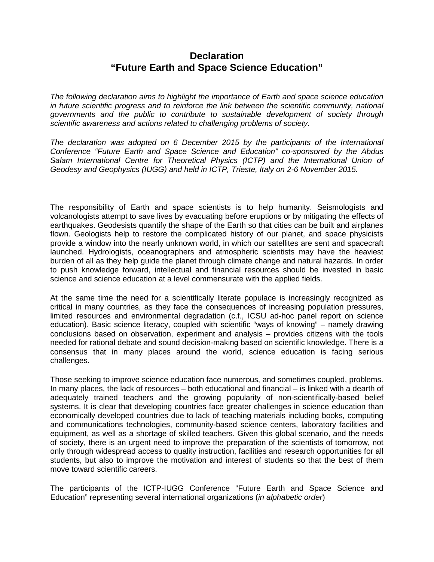## **Declaration "Future Earth and Space Science Education"**

*The following declaration aims to highlight the importance of Earth and space science education in future scientific progress and to reinforce the link between the scientific community, national governments and the public to contribute to sustainable development of society through scientific awareness and actions related to challenging problems of society.*

*The declaration was adopted on 6 December 2015 by the participants of the International Conference "Future Earth and Space Science and Education" co-sponsored by the Abdus Salam International Centre for Theoretical Physics (ICTP) and the International Union of Geodesy and Geophysics (IUGG) and held in ICTP, Trieste, Italy on 2-6 November 2015.* 

The responsibility of Earth and space scientists is to help humanity. Seismologists and volcanologists attempt to save lives by evacuating before eruptions or by mitigating the effects of earthquakes. Geodesists quantify the shape of the Earth so that cities can be built and airplanes flown. Geologists help to restore the complicated history of our planet, and space physicists provide a window into the nearly unknown world, in which our satellites are sent and spacecraft launched. Hydrologists, oceanographers and atmospheric scientists may have the heaviest burden of all as they help guide the planet through climate change and natural hazards. In order to push knowledge forward, intellectual and financial resources should be invested in basic science and science education at a level commensurate with the applied fields.

At the same time the need for a scientifically literate populace is increasingly recognized as critical in many countries, as they face the consequences of increasing population pressures, limited resources and environmental degradation (c.f., ICSU ad-hoc panel report on science education). Basic science literacy, coupled with scientific "ways of knowing" – namely drawing conclusions based on observation, experiment and analysis – provides citizens with the tools needed for rational debate and sound decision-making based on scientific knowledge. There is a consensus that in many places around the world, science education is facing serious challenges.

Those seeking to improve science education face numerous, and sometimes coupled, problems. In many places, the lack of resources – both educational and financial – is linked with a dearth of adequately trained teachers and the growing popularity of non-scientifically-based belief systems. It is clear that developing countries face greater challenges in science education than economically developed countries due to lack of teaching materials including books, computing and communications technologies, community-based science centers, laboratory facilities and equipment, as well as a shortage of skilled teachers. Given this global scenario, and the needs of society, there is an urgent need to improve the preparation of the scientists of tomorrow, not only through widespread access to quality instruction, facilities and research opportunities for all students, but also to improve the motivation and interest of students so that the best of them move toward scientific careers.

The participants of the ICTP-IUGG Conference "Future Earth and Space Science and Education" representing several international organizations (*in alphabetic order*)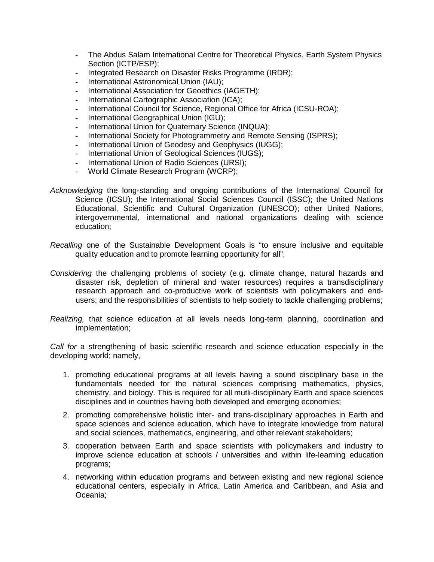- The Abdus Salam International Centre for Theoretical Physics, Earth System Physics Section (ICTP/ESP);
- Integrated Research on Disaster Risks Programme (IRDR);
- International Astronomical Union (IAU);
- International Association for Geoethics (IAGETH);
- International Cartographic Association (ICA);
- International Council for Science, Regional Office for Africa (ICSU-ROA);
- International Geographical Union (IGU);
- International Union for Quaternary Science (INQUA);
- International Society for Photogrammetry and Remote Sensing (ISPRS);
- International Union of Geodesy and Geophysics (IUGG);
- International Union of Geological Sciences (IUGS);
- International Union of Radio Sciences (URSI);
- World Climate Research Program (WCRP);
- *Acknowledging* the long-standing and ongoing contributions of the International Council for Science (ICSU); the International Social Sciences Council (ISSC); the United Nations Educational, Scientific and Cultural Organization (UNESCO); other United Nations, intergovernmental, international and national organizations dealing with science education;
- *Recalling* one of the Sustainable Development Goals is "to ensure inclusive and equitable quality education and to promote learning opportunity for all";
- *Considering* the challenging problems of society (e.g. climate change, natural hazards and disaster risk, depletion of mineral and water resources) requires a transdisciplinary research approach and co-productive work of scientists with policymakers and endusers; and the responsibilities of scientists to help society to tackle challenging problems;
- *Realizing,* that science education at all levels needs long-term planning, coordination and implementation;

*Call for* a strengthening of basic scientific research and science education especially in the developing world; namely,

- 1. promoting educational programs at all levels having a sound disciplinary base in the fundamentals needed for the natural sciences comprising mathematics, physics, chemistry, and biology. This is required for all mutli-disciplinary Earth and space sciences disciplines and in countries having both developed and emerging economies;
- 2. promoting comprehensive holistic inter- and trans-disciplinary approaches in Earth and space sciences and science education, which have to integrate knowledge from natural and social sciences, mathematics, engineering, and other relevant stakeholders;
- 3. cooperation between Earth and space scientists with policymakers and industry to improve science education at schools / universities and within life-learning education programs;
- 4. networking within education programs and between existing and new regional science educational centers, especially in Africa, Latin America and Caribbean, and Asia and Oceania;